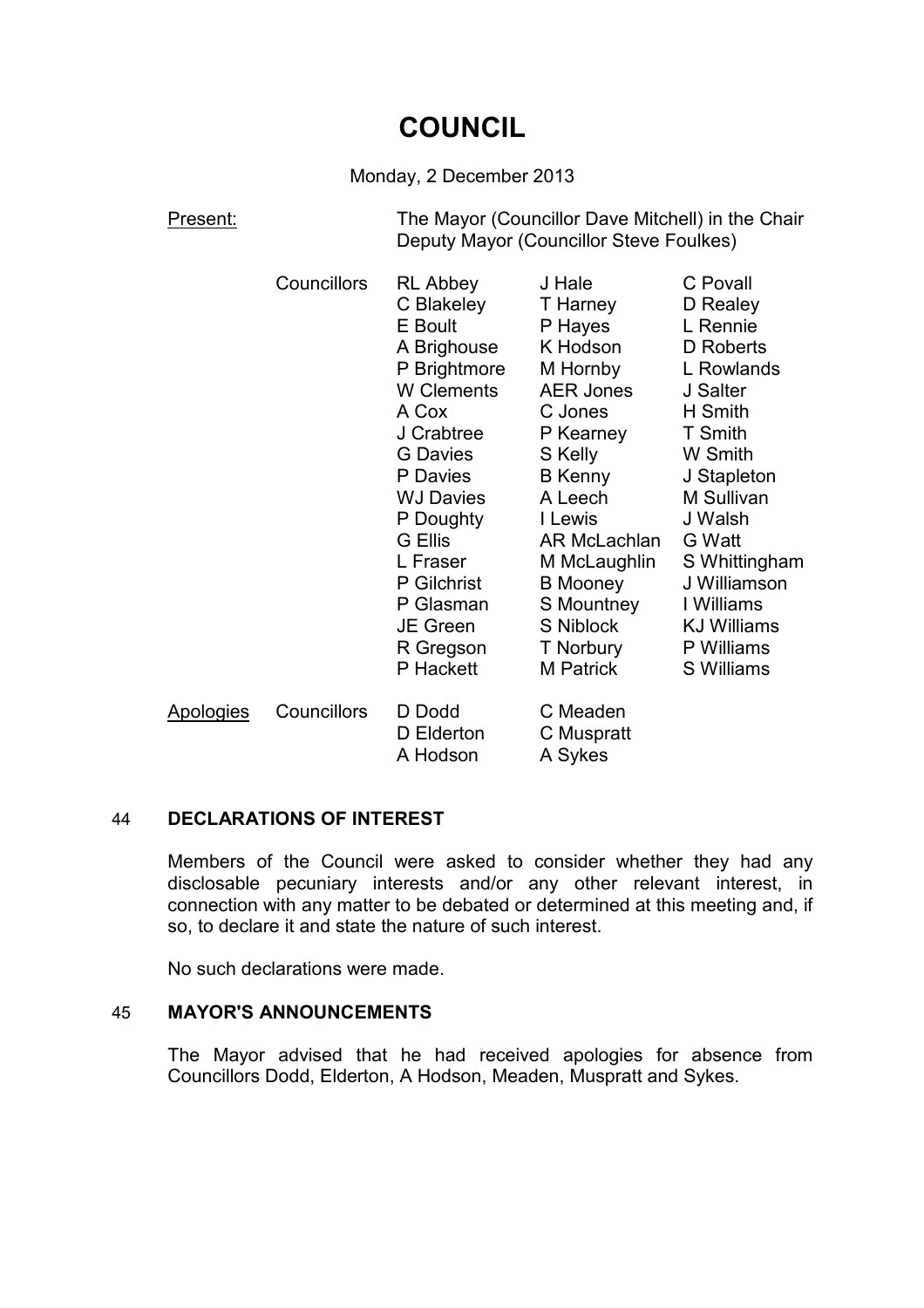# **COUNCIL**

Monday, 2 December 2013

Present: The Mayor (Councillor Dave Mitchell) in the Chair Deputy Mayor (Councillor Steve Foulkes)

|                  | Councillors | RL Abbey<br>C Blakeley<br>E Boult<br>A Brighouse<br>P Brightmore<br><b>W</b> Clements<br>A Cox<br>J Crabtree<br><b>G</b> Davies<br>P Davies<br><b>WJ Davies</b><br>P Doughty<br><b>G Ellis</b><br>L Fraser<br>P Gilchrist<br>P Glasman<br>JE Green<br>R Gregson<br>P Hackett | J Hale<br>T Harney<br>P Hayes<br>K Hodson<br>M Hornby<br><b>AER Jones</b><br>C Jones<br>P Kearney<br>S Kelly<br><b>B</b> Kenny<br>A Leech<br>I Lewis<br>AR McLachlan<br>M McLaughlin<br><b>B</b> Mooney<br>S Mountney<br>S Niblock<br>T Norbury<br><b>M</b> Patrick | C Povall<br>D Realey<br>L Rennie<br>D Roberts<br>L Rowlands<br>J Salter<br>H Smith<br>T Smith<br>W Smith<br>J Stapleton<br>M Sullivan<br>J Walsh<br>G Watt<br>S Whittingham<br>J Williamson<br>I Williams<br><b>KJ Williams</b><br>P Williams<br>S Williams |
|------------------|-------------|------------------------------------------------------------------------------------------------------------------------------------------------------------------------------------------------------------------------------------------------------------------------------|---------------------------------------------------------------------------------------------------------------------------------------------------------------------------------------------------------------------------------------------------------------------|-------------------------------------------------------------------------------------------------------------------------------------------------------------------------------------------------------------------------------------------------------------|
| <b>Apologies</b> | Councillors | D Dodd<br>D Elderton<br>A Hodson                                                                                                                                                                                                                                             | C Meaden<br>C Muspratt<br>A Sykes                                                                                                                                                                                                                                   |                                                                                                                                                                                                                                                             |

## 44 **DECLARATIONS OF INTEREST**

Members of the Council were asked to consider whether they had any disclosable pecuniary interests and/or any other relevant interest, in connection with any matter to be debated or determined at this meeting and, if so, to declare it and state the nature of such interest.

No such declarations were made.

# 45 **MAYOR'S ANNOUNCEMENTS**

The Mayor advised that he had received apologies for absence from Councillors Dodd, Elderton, A Hodson, Meaden, Muspratt and Sykes.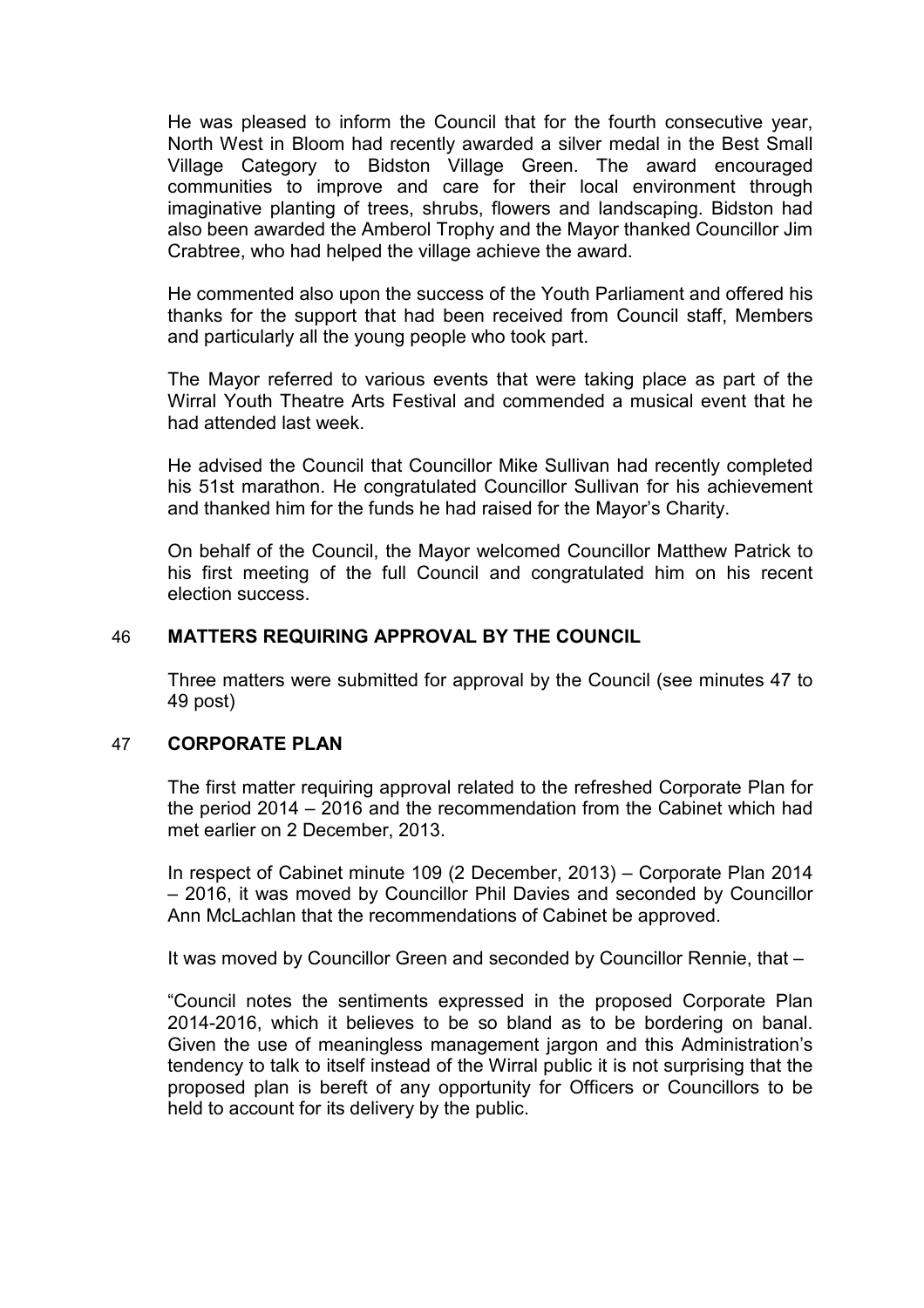He was pleased to inform the Council that for the fourth consecutive year, North West in Bloom had recently awarded a silver medal in the Best Small Village Category to Bidston Village Green. The award encouraged communities to improve and care for their local environment through imaginative planting of trees, shrubs, flowers and landscaping. Bidston had also been awarded the Amberol Trophy and the Mayor thanked Councillor Jim Crabtree, who had helped the village achieve the award.

He commented also upon the success of the Youth Parliament and offered his thanks for the support that had been received from Council staff, Members and particularly all the young people who took part.

The Mayor referred to various events that were taking place as part of the Wirral Youth Theatre Arts Festival and commended a musical event that he had attended last week.

He advised the Council that Councillor Mike Sullivan had recently completed his 51st marathon. He congratulated Councillor Sullivan for his achievement and thanked him for the funds he had raised for the Mayor's Charity.

On behalf of the Council, the Mayor welcomed Councillor Matthew Patrick to his first meeting of the full Council and congratulated him on his recent election success.

#### 46 **MATTERS REQUIRING APPROVAL BY THE COUNCIL**

Three matters were submitted for approval by the Council (see minutes 47 to 49 post)

#### 47 **CORPORATE PLAN**

The first matter requiring approval related to the refreshed Corporate Plan for the period 2014 – 2016 and the recommendation from the Cabinet which had met earlier on 2 December, 2013.

In respect of Cabinet minute 109 (2 December, 2013) – Corporate Plan 2014 – 2016, it was moved by Councillor Phil Davies and seconded by Councillor Ann McLachlan that the recommendations of Cabinet be approved.

It was moved by Councillor Green and seconded by Councillor Rennie, that –

"Council notes the sentiments expressed in the proposed Corporate Plan 2014-2016, which it believes to be so bland as to be bordering on banal. Given the use of meaningless management jargon and this Administration's tendency to talk to itself instead of the Wirral public it is not surprising that the proposed plan is bereft of any opportunity for Officers or Councillors to be held to account for its delivery by the public.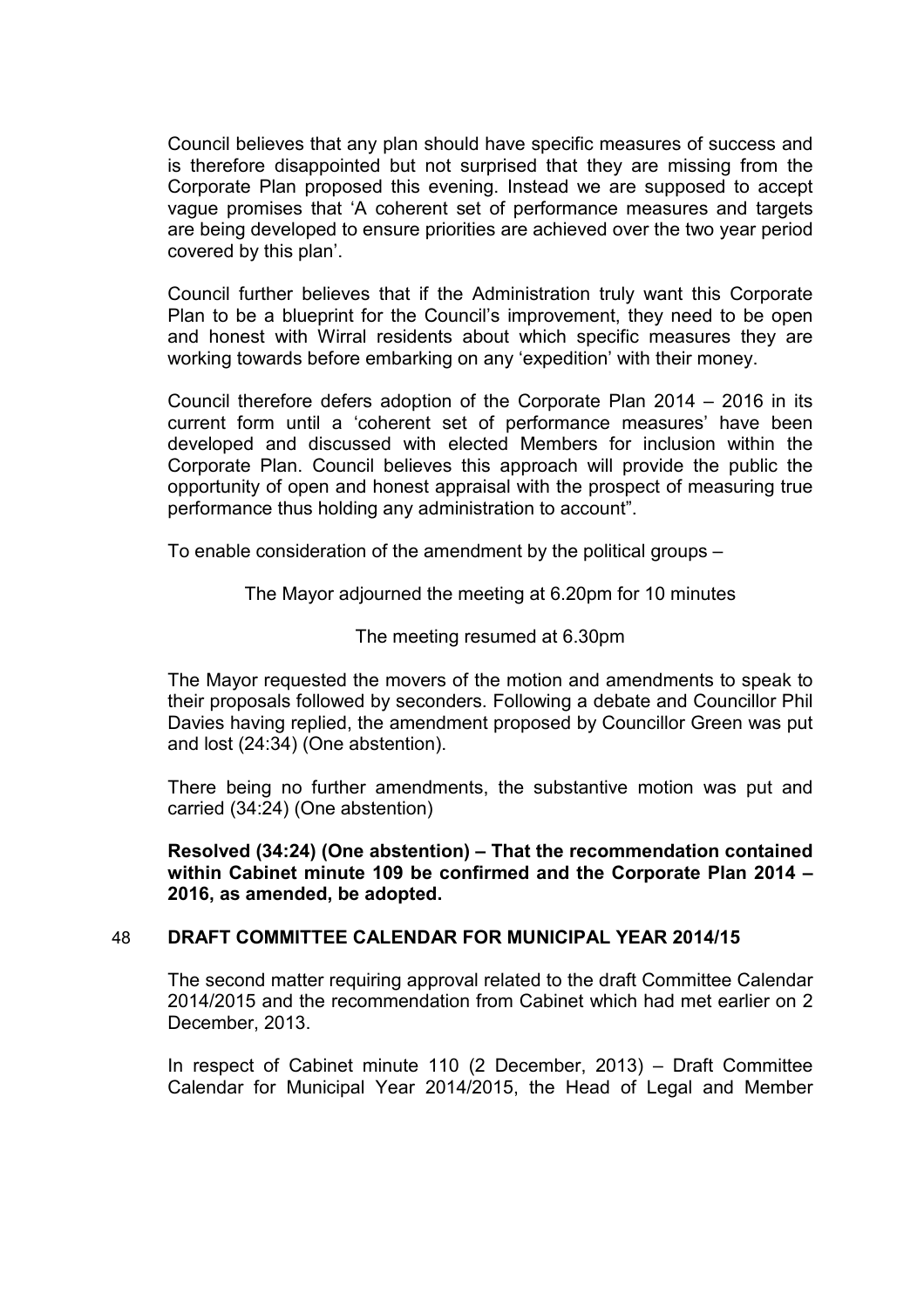Council believes that any plan should have specific measures of success and is therefore disappointed but not surprised that they are missing from the Corporate Plan proposed this evening. Instead we are supposed to accept vague promises that 'A coherent set of performance measures and targets are being developed to ensure priorities are achieved over the two year period covered by this plan'.

Council further believes that if the Administration truly want this Corporate Plan to be a blueprint for the Council's improvement, they need to be open and honest with Wirral residents about which specific measures they are working towards before embarking on any 'expedition' with their money.

Council therefore defers adoption of the Corporate Plan 2014 – 2016 in its current form until a 'coherent set of performance measures' have been developed and discussed with elected Members for inclusion within the Corporate Plan. Council believes this approach will provide the public the opportunity of open and honest appraisal with the prospect of measuring true performance thus holding any administration to account".

To enable consideration of the amendment by the political groups –

The Mayor adjourned the meeting at 6.20pm for 10 minutes

#### The meeting resumed at 6.30pm

The Mayor requested the movers of the motion and amendments to speak to their proposals followed by seconders. Following a debate and Councillor Phil Davies having replied, the amendment proposed by Councillor Green was put and lost (24:34) (One abstention).

There being no further amendments, the substantive motion was put and carried (34:24) (One abstention)

**Resolved (34:24) (One abstention) – That the recommendation contained within Cabinet minute 109 be confirmed and the Corporate Plan 2014 – 2016, as amended, be adopted.** 

### 48 **DRAFT COMMITTEE CALENDAR FOR MUNICIPAL YEAR 2014/15**

The second matter requiring approval related to the draft Committee Calendar 2014/2015 and the recommendation from Cabinet which had met earlier on 2 December, 2013.

In respect of Cabinet minute 110 (2 December, 2013) – Draft Committee Calendar for Municipal Year 2014/2015, the Head of Legal and Member